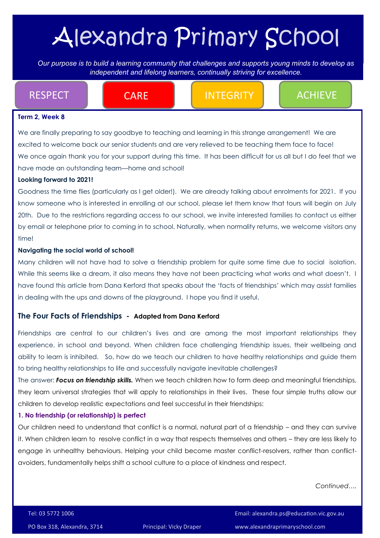# Alexandra Primary School

*Our purpose is to build a learning community that challenges and supports young minds to develop as independent Our purpose is to build a learning community that challenges and supports young minds to develop as independent and lifelong learners, continually striving for excellence.* 

RESPECT **Integral CARE Integrity Achieve** 

#### **Term 2, Week 8**

We are finally preparing to say goodbye to teaching and learning in this strange arrangement! We are excited to welcome back our senior students and are very relieved to be teaching them face to face! We once again thank you for your support during this time. It has been difficult for us all but I do feel that we have made an outstanding team—home and school!

#### **Looking forward to 2021!**

Goodness the time flies (particularly as I get older!). We are already talking about enrolments for 2021. If you know someone who is interested in enrolling at our school, please let them know that tours will begin on July 20th. Due to the restrictions regarding access to our school, we invite interested families to contact us either by email or telephone prior to coming in to school. Naturally, when normality returns, we welcome visitors any time!

#### **Navigating the social world of school!**

Many children will not have had to solve a friendship problem for quite some time due to social isolation. While this seems like a dream, it also means they have not been practicing what works and what doesn't. I have found this article from Dana Kerford that speaks about the 'facts of friendships' which may assist families in dealing with the ups and downs of the playground. I hope you find it useful.

#### **The Four Facts of Friendships - Adapted from Dana Kerford**

Friendships are central to our children's lives and are among the most important relationships they experience, in school and beyond. When children face challenging friendship issues, their wellbeing and ability to learn is inhibited. So, how do we teach our children to have healthy relationships and guide them to bring healthy relationships to life and successfully navigate inevitable challenges?

The answer: *Focus on friendship skills.* When we teach children how to form deep and meaningful friendships, they learn universal strategies that will apply to relationships in their lives. These four simple truths allow our children to develop realistic expectations and feel successful in their friendships:

#### **1. No friendship (or relationship) is perfect**

Our children need to understand that conflict is a normal, natural part of a friendship – and they can survive it. When children learn to resolve conflict in a way that respects themselves and others – they are less likely to engage in unhealthy behaviours. Helping your child become master conflict-resolvers, rather than conflictavoiders, fundamentally helps shift a school culture to a place of kindness and respect.

*Continued….*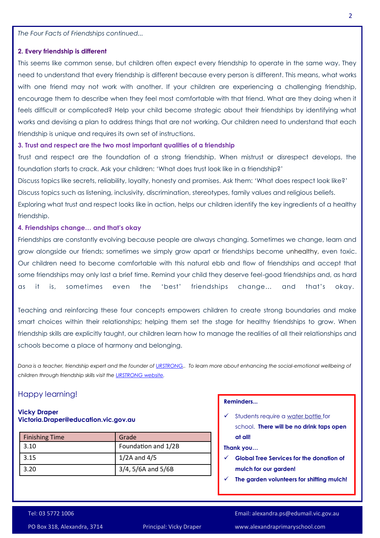*The Four Facts of Friendships continued...*

#### **2. Every friendship is different**

This seems like common sense, but children often expect every friendship to operate in the same way. They need to understand that every friendship is different because every person is different. This means, what works with one friend may not work with another. If your children are experiencing a challenging friendship, encourage them to describe when they feel most comfortable with that friend. What are they doing when it feels difficult or complicated? Help your child become strategic about their friendships by identifying what works and devising a plan to address things that are not working. Our children need to understand that each friendship is unique and requires its own set of instructions.

#### **3. Trust and respect are the two most important qualities of a friendship**

Trust and respect are the foundation of a strong friendship. When mistrust or disrespect develops, the foundation starts to crack. Ask your children: 'What does trust look like in a friendship?'

Discuss topics like secrets, reliability, loyalty, honesty and promises. Ask them: 'What does respect look like?' Discuss topics such as listening, inclusivity, discrimination, stereotypes, family values and religious beliefs.

Exploring what trust and respect looks like in action, helps our children identify the key ingredients of a healthy friendship.

#### **4. Friendships change… and that's okay**

Friendships are constantly evolving because people are always changing. Sometimes we change, learn and grow alongside our friends; sometimes we simply grow apart or friendships become [unhealthy,](http://click.email.instituteofpositiveeducation.com/?qs=a3d1971327fdc06b64edd076f6a0d8455aa87757c64a2eb9c8aba5d9780d2f3dc7a9879c1b2335bb9a157de111e9439bfe0d810cf71948e7f97e1fc5ea7ab584) even toxic. Our children need to become comfortable with this natural ebb and flow of friendships and accept that some friendships may only last a brief time. Remind your child they deserve feel-good friendships and, as hard as it is, sometimes even the 'best' friendships change… and that's okay.

Teaching and reinforcing these four concepts empowers children to create strong boundaries and make smart choices within their relationships; helping them set the stage for healthy friendships to grow. When friendship skills are explicitly taught, our children learn how to manage the realities of all their relationships and schools become a place of harmony and belonging.

*Dana is a teacher, friendship expert and the founder of [URSTRONG,.](http://click.email.instituteofpositiveeducation.com/?qs=a3d1971327fdc06b3bbe9ce257029d51038cbf51e7549c8599cbab842860444833ff952ae9a7995c0ac65565de7edafa0462e375825cd37cf5e21d801904c041) To learn more about enhancing the social-emotional wellbeing of children through friendship skills visit the [URSTRONG website.](http://click.email.instituteofpositiveeducation.com/?qs=a3d1971327fdc06bd67e1dfe8d8883f9ffd522fc73b2d5415b071040b37dd84408ada81023b34fdff8d959bb4e23b4c384c17e5812e61723005f929f4b9cca9b)*

#### Happy learning!

#### **Vicky Draper Victoria.Draper@education.vic.gov.au**

| <b>Finishing Time</b> | Grade               |
|-----------------------|---------------------|
| 3.10                  | Foundation and 1/2B |
| 3.15                  | $1/2A$ and $4/5$    |
| 3.20                  | 3/4, 5/6A and 5/6B  |

#### **Reminders...**

 $\checkmark$  Students require a water bottle for school. **There will be no drink taps open at all!**

#### **Thank you…**

- **Global Tree Services for the donation of mulch for our garden!**
- **The garden volunteers for shifting mulch!**

PO Box 318, Alexandra, 3714 Principal: Vicky Draper www.alexandraprimaryschool.com

Tel: 03 5772 1006 Email: alexandra.ps@edumail.vic.gov.au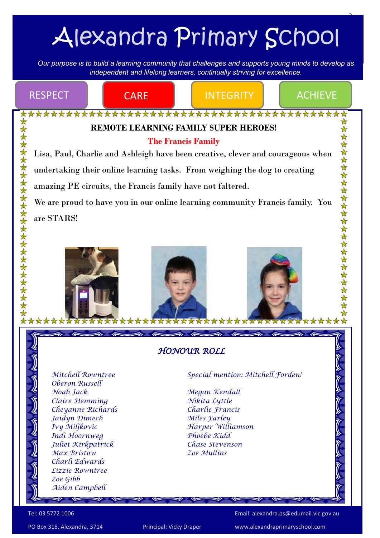# Alexandra Primary School

3

*Our purpose is to build a learning community that challenges and supports young minds to develop as independent Our purpose is to build a learning community that challenges and supports young minds to develop as independent and lifelong learners, continually striving for excellence.* 



Tel: 03 5772 1006 Email: alexandra.ps@edumail.vic.gov.au